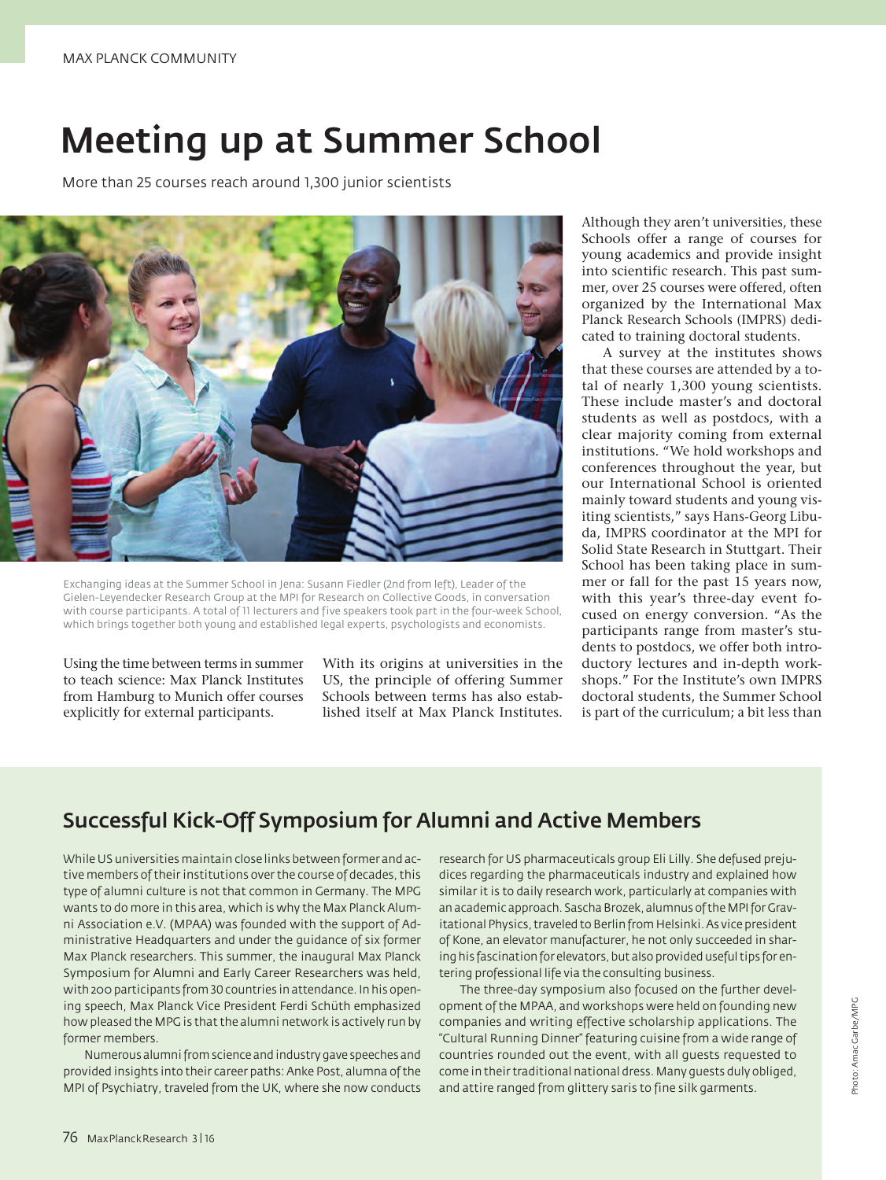## Meeting up at Summer School

More than 25 courses reach around 1,300 junior scientists



Exchanging ideas at the Summer School in Jena: Susann Fiedler (2nd from left), Leader of the Gielen-Leyendecker Research Group at the MPI for Research on Collective Goods, in conversation with course participants. A total of 11 lecturers and five speakers took part in the four-week School, which brings together both young and established legal experts, psychologists and economists.

Using the time between terms in summer to teach science: Max Planck Institutes from Hamburg to Munich offer courses explicitly for external participants.

With its origins at universities in the US, the principle of offering Summer Schools between terms has also established itself at Max Planck Institutes. Although they aren't universities, these Schools offer a range of courses for young academics and provide insight into scientific research. This past summer, over 25 courses were offered, often organized by the International Max Planck Research Schools (IMPRS) dedicated to training doctoral students.

A survey at the institutes shows that these courses are attended by a total of nearly 1,300 young scientists. These include master's and doctoral students as well as postdocs, with a clear majority coming from external institutions. "We hold workshops and conferences throughout the year, but our International School is oriented mainly toward students and young visiting scientists," says Hans-Georg Libuda, IMPRS coordinator at the MPI for Solid State Research in Stuttgart. Their School has been taking place in summer or fall for the past 15 years now, with this year's three-day event focused on energy conversion. "As the participants range from master's students to postdocs, we offer both introductory lectures and in-depth workshops." For the Institute's own IMPRS doctoral students, the Summer School is part of the curriculum; a bit less than

#### Successful Kick-Off Symposium for Alumni and Active Members

While US universities maintain close links between former and active members of their institutions over the course of decades, this type of alumni culture is not that common in Germany. The MPG wants to do more in this area, which is why the Max Planck Alumni Association e.V. (MPAA) was founded with the support of Administrative Headquarters and under the guidance of six former Max Planck researchers. This summer, the inaugural Max Planck Symposium for Alumni and Early Career Researchers was held, with 200 participants from 30 countries in attendance. In his opening speech, Max Planck Vice President Ferdi Schüth emphasized how pleased the MPG is that the alumni network is actively run by former members.

Numerous alumni from science and industry gave speeches and provided insights into their career paths: Anke Post, alumna of the MPI of Psychiatry, traveled from the UK, where she now conducts

research for US pharmaceuticals group Eli Lilly. She defused prejudices regarding the pharmaceuticals industry and explained how similar it is to daily research work, particularly at companies with an academic approach. Sascha Brozek, alumnus of the MPI for Gravitational Physics, traveled to Berlin from Helsinki. As vice president of Kone, an elevator manufacturer, he not only succeeded in sharing his fascination for elevators, but also provided useful tips for entering professional life via the consulting business.

The three-day symposium also focused on the further development of the MPAA, and workshops were held on founding new companies and writing effective scholarship applications. The "Cultural Running Dinner" featuring cuisine from a wide range of countries rounded out the event, with all guests requested to come in their traditional national dress. Many guests duly obliged, and attire ranged from glittery saris to fine silk garments.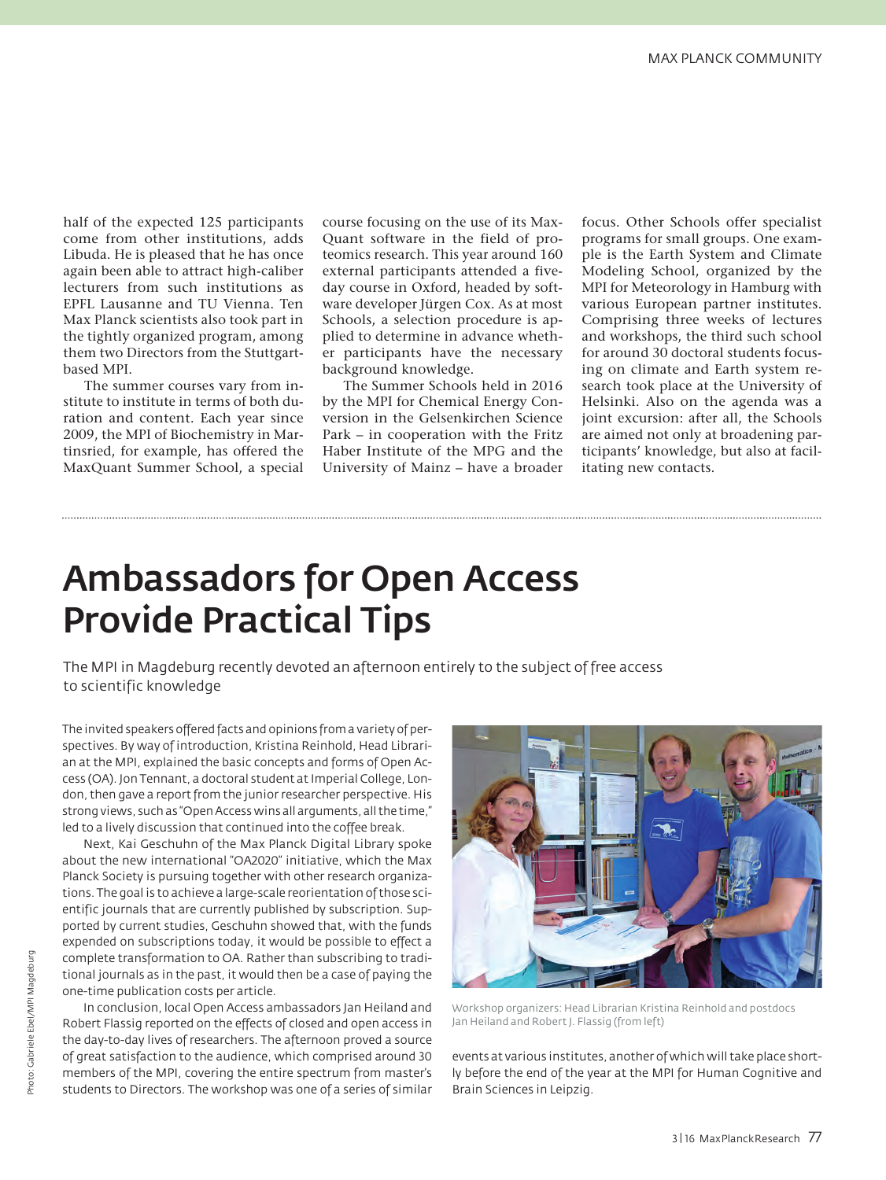half of the expected 125 participants come from other institutions, adds Libuda. He is pleased that he has once again been able to attract high-caliber lecturers from such institutions as EPFL Lausanne and TU Vienna. Ten Max Planck scientists also took part in the tightly organized program, among them two Directors from the Stuttgartbased MPI.

The summer courses vary from institute to institute in terms of both duration and content. Each year since 2009, the MPI of Biochemistry in Martinsried, for example, has offered the MaxQuant Summer School, a special

course focusing on the use of its Max-Quant software in the field of proteomics research. This year around 160 external participants attended a fiveday course in Oxford, headed by software developer Jürgen Cox. As at most Schools, a selection procedure is applied to determine in advance whether participants have the necessary background knowledge.

The Summer Schools held in 2016 by the MPI for Chemical Energy Conversion in the Gelsenkirchen Science Park – in cooperation with the Fritz Haber Institute of the MPG and the University of Mainz – have a broader focus. Other Schools offer specialist programs for small groups. One example is the Earth System and Climate Modeling School, organized by the MPI for Meteorology in Hamburg with various European partner institutes. Comprising three weeks of lectures and workshops, the third such school for around 30 doctoral students focusing on climate and Earth system research took place at the University of Helsinki. Also on the agenda was a joint excursion: after all, the Schools are aimed not only at broadening participants' knowledge, but also at facilitating new contacts.

## Ambassadors for Open Access Provide Practical Tips

The MPI in Magdeburg recently devoted an afternoon entirely to the subject of free access to scientific knowledge

The invited speakers offered facts and opinions from a variety of perspectives. By way of introduction, Kristina Reinhold, Head Librarian at the MPI, explained the basic concepts and forms of Open Access (OA). Jon Tennant, a doctoral student at Imperial College, London, then gave a report from the junior researcher perspective. His strong views, such as "Open Access wins all arguments, all the time," led to a lively discussion that continued into the coffee break.

Next, Kai Geschuhn of the Max Planck Digital Library spoke about the new international "OA2020" initiative, which the Max Planck Society is pursuing together with other research organizations. The goal is to achieve a large-scale reorientation of those scientific journals that are currently published by subscription. Supported by current studies, Geschuhn showed that, with the funds expended on subscriptions today, it would be possible to effect a complete transformation to OA. Rather than subscribing to traditional journals as in the past, it would then be a case of paying the one-time publication costs per article.

In conclusion, local Open Access ambassadors Jan Heiland and Robert Flassig reported on the effects of closed and open access in the day-to-day lives of researchers. The afternoon proved a source of great satisfaction to the audience, which comprised around 30 members of the MPI, covering the entire spectrum from master's students to Directors. The workshop was one of a series of similar



Workshop organizers: Head Librarian Kristina Reinhold and postdocs Jan Heiland and Robert J. Flassig (from left)

events at various institutes, another of which will take place shortly before the end of the year at the MPI for Human Cognitive and Brain Sciences in Leipzig.